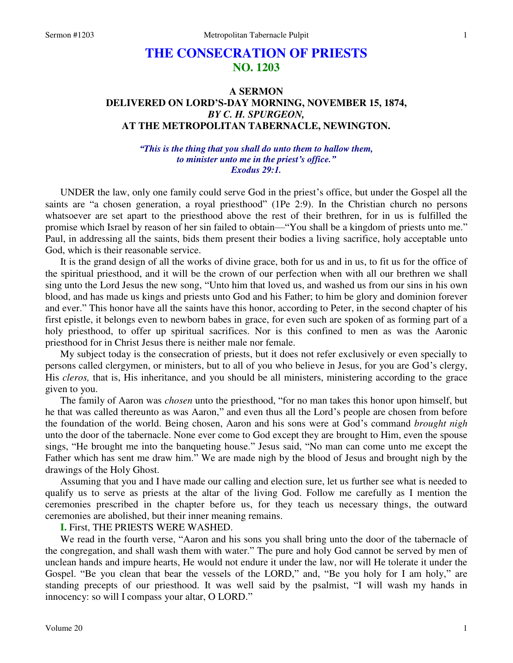# **THE CONSECRATION OF PRIESTS NO. 1203**

## **A SERMON DELIVERED ON LORD'S-DAY MORNING, NOVEMBER 15, 1874,**  *BY C. H. SPURGEON,*  **AT THE METROPOLITAN TABERNACLE, NEWINGTON.**

## *"This is the thing that you shall do unto them to hallow them, to minister unto me in the priest's office." Exodus 29:1.*

UNDER the law, only one family could serve God in the priest's office, but under the Gospel all the saints are "a chosen generation, a royal priesthood" (1Pe 2:9). In the Christian church no persons whatsoever are set apart to the priesthood above the rest of their brethren, for in us is fulfilled the promise which Israel by reason of her sin failed to obtain—"You shall be a kingdom of priests unto me." Paul, in addressing all the saints, bids them present their bodies a living sacrifice, holy acceptable unto God, which is their reasonable service.

It is the grand design of all the works of divine grace, both for us and in us, to fit us for the office of the spiritual priesthood, and it will be the crown of our perfection when with all our brethren we shall sing unto the Lord Jesus the new song, "Unto him that loved us, and washed us from our sins in his own blood, and has made us kings and priests unto God and his Father; to him be glory and dominion forever and ever." This honor have all the saints have this honor, according to Peter, in the second chapter of his first epistle, it belongs even to newborn babes in grace, for even such are spoken of as forming part of a holy priesthood, to offer up spiritual sacrifices. Nor is this confined to men as was the Aaronic priesthood for in Christ Jesus there is neither male nor female.

My subject today is the consecration of priests, but it does not refer exclusively or even specially to persons called clergymen, or ministers, but to all of you who believe in Jesus, for you are God's clergy, His *cleros*, that is, His inheritance, and you should be all ministers, ministering according to the grace given to you.

The family of Aaron was *chosen* unto the priesthood, "for no man takes this honor upon himself, but he that was called thereunto as was Aaron," and even thus all the Lord's people are chosen from before the foundation of the world. Being chosen, Aaron and his sons were at God's command *brought nigh*  unto the door of the tabernacle. None ever come to God except they are brought to Him, even the spouse sings, "He brought me into the banqueting house." Jesus said, "No man can come unto me except the Father which has sent me draw him." We are made nigh by the blood of Jesus and brought nigh by the drawings of the Holy Ghost.

Assuming that you and I have made our calling and election sure, let us further see what is needed to qualify us to serve as priests at the altar of the living God. Follow me carefully as I mention the ceremonies prescribed in the chapter before us, for they teach us necessary things, the outward ceremonies are abolished, but their inner meaning remains.

## **I.** First, THE PRIESTS WERE WASHED.

We read in the fourth verse, "Aaron and his sons you shall bring unto the door of the tabernacle of the congregation, and shall wash them with water." The pure and holy God cannot be served by men of unclean hands and impure hearts, He would not endure it under the law, nor will He tolerate it under the Gospel. "Be you clean that bear the vessels of the LORD," and, "Be you holy for I am holy," are standing precepts of our priesthood. It was well said by the psalmist, "I will wash my hands in innocency: so will I compass your altar, O LORD."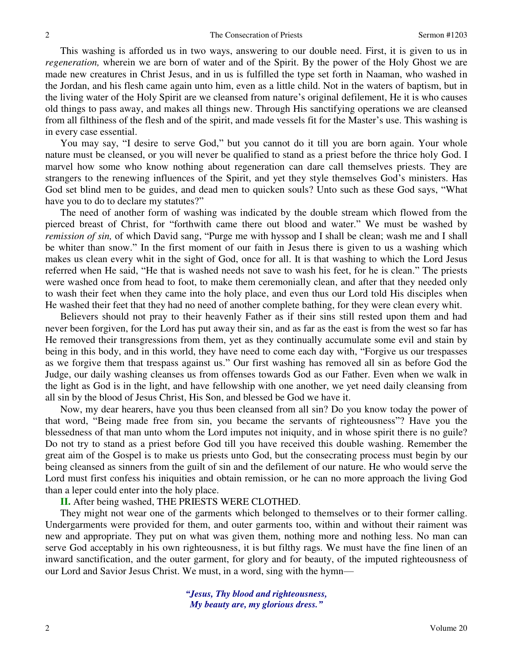This washing is afforded us in two ways, answering to our double need. First, it is given to us in *regeneration,* wherein we are born of water and of the Spirit. By the power of the Holy Ghost we are made new creatures in Christ Jesus, and in us is fulfilled the type set forth in Naaman, who washed in the Jordan, and his flesh came again unto him, even as a little child. Not in the waters of baptism, but in the living water of the Holy Spirit are we cleansed from nature's original defilement, He it is who causes old things to pass away, and makes all things new. Through His sanctifying operations we are cleansed from all filthiness of the flesh and of the spirit, and made vessels fit for the Master's use. This washing is in every case essential.

You may say, "I desire to serve God," but you cannot do it till you are born again. Your whole nature must be cleansed, or you will never be qualified to stand as a priest before the thrice holy God. I marvel how some who know nothing about regeneration can dare call themselves priests. They are strangers to the renewing influences of the Spirit, and yet they style themselves God's ministers. Has God set blind men to be guides, and dead men to quicken souls? Unto such as these God says, "What have you to do to declare my statutes?"

The need of another form of washing was indicated by the double stream which flowed from the pierced breast of Christ, for "forthwith came there out blood and water." We must be washed by *remission of sin,* of which David sang, "Purge me with hyssop and I shall be clean; wash me and I shall be whiter than snow." In the first moment of our faith in Jesus there is given to us a washing which makes us clean every whit in the sight of God, once for all. It is that washing to which the Lord Jesus referred when He said, "He that is washed needs not save to wash his feet, for he is clean." The priests were washed once from head to foot, to make them ceremonially clean, and after that they needed only to wash their feet when they came into the holy place, and even thus our Lord told His disciples when He washed their feet that they had no need of another complete bathing, for they were clean every whit.

Believers should not pray to their heavenly Father as if their sins still rested upon them and had never been forgiven, for the Lord has put away their sin, and as far as the east is from the west so far has He removed their transgressions from them, yet as they continually accumulate some evil and stain by being in this body, and in this world, they have need to come each day with, "Forgive us our trespasses as we forgive them that trespass against us." Our first washing has removed all sin as before God the Judge, our daily washing cleanses us from offenses towards God as our Father. Even when we walk in the light as God is in the light, and have fellowship with one another, we yet need daily cleansing from all sin by the blood of Jesus Christ, His Son, and blessed be God we have it.

Now, my dear hearers, have you thus been cleansed from all sin? Do you know today the power of that word, "Being made free from sin, you became the servants of righteousness"? Have you the blessedness of that man unto whom the Lord imputes not iniquity, and in whose spirit there is no guile? Do not try to stand as a priest before God till you have received this double washing. Remember the great aim of the Gospel is to make us priests unto God, but the consecrating process must begin by our being cleansed as sinners from the guilt of sin and the defilement of our nature. He who would serve the Lord must first confess his iniquities and obtain remission, or he can no more approach the living God than a leper could enter into the holy place.

#### **II.** After being washed, THE PRIESTS WERE CLOTHED.

They might not wear one of the garments which belonged to themselves or to their former calling. Undergarments were provided for them, and outer garments too, within and without their raiment was new and appropriate. They put on what was given them, nothing more and nothing less. No man can serve God acceptably in his own righteousness, it is but filthy rags. We must have the fine linen of an inward sanctification, and the outer garment, for glory and for beauty, of the imputed righteousness of our Lord and Savior Jesus Christ. We must, in a word, sing with the hymn—

> *"Jesus, Thy blood and righteousness, My beauty are, my glorious dress."*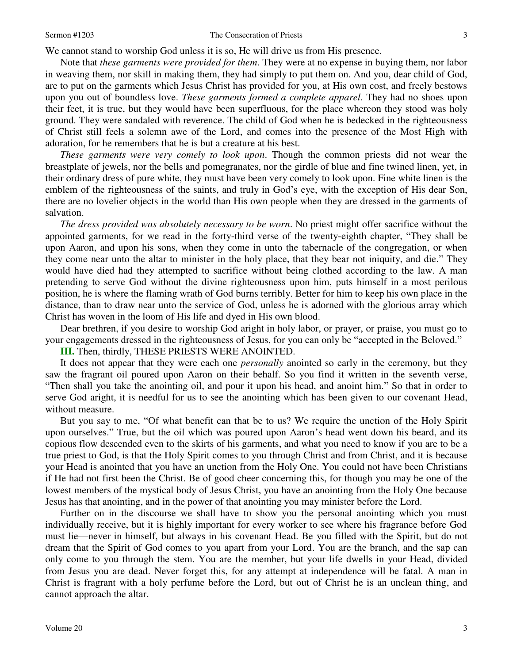We cannot stand to worship God unless it is so, He will drive us from His presence.

Note that *these garments were provided for them*. They were at no expense in buying them, nor labor in weaving them, nor skill in making them, they had simply to put them on. And you, dear child of God, are to put on the garments which Jesus Christ has provided for you, at His own cost, and freely bestows upon you out of boundless love. *These garments formed a complete apparel*. They had no shoes upon their feet, it is true, but they would have been superfluous, for the place whereon they stood was holy ground. They were sandaled with reverence. The child of God when he is bedecked in the righteousness of Christ still feels a solemn awe of the Lord, and comes into the presence of the Most High with adoration, for he remembers that he is but a creature at his best.

*These garments were very comely to look upon*. Though the common priests did not wear the breastplate of jewels, nor the bells and pomegranates, nor the girdle of blue and fine twined linen, yet, in their ordinary dress of pure white, they must have been very comely to look upon. Fine white linen is the emblem of the righteousness of the saints, and truly in God's eye, with the exception of His dear Son, there are no lovelier objects in the world than His own people when they are dressed in the garments of salvation.

*The dress provided was absolutely necessary to be worn*. No priest might offer sacrifice without the appointed garments, for we read in the forty-third verse of the twenty-eighth chapter, "They shall be upon Aaron, and upon his sons, when they come in unto the tabernacle of the congregation, or when they come near unto the altar to minister in the holy place, that they bear not iniquity, and die." They would have died had they attempted to sacrifice without being clothed according to the law. A man pretending to serve God without the divine righteousness upon him, puts himself in a most perilous position, he is where the flaming wrath of God burns terribly. Better for him to keep his own place in the distance, than to draw near unto the service of God, unless he is adorned with the glorious array which Christ has woven in the loom of His life and dyed in His own blood.

Dear brethren, if you desire to worship God aright in holy labor, or prayer, or praise, you must go to your engagements dressed in the righteousness of Jesus, for you can only be "accepted in the Beloved."

**III.** Then, thirdly, THESE PRIESTS WERE ANOINTED.

It does not appear that they were each one *personally* anointed so early in the ceremony, but they saw the fragrant oil poured upon Aaron on their behalf. So you find it written in the seventh verse, "Then shall you take the anointing oil, and pour it upon his head, and anoint him." So that in order to serve God aright, it is needful for us to see the anointing which has been given to our covenant Head, without measure.

But you say to me, "Of what benefit can that be to us? We require the unction of the Holy Spirit upon ourselves." True, but the oil which was poured upon Aaron's head went down his beard, and its copious flow descended even to the skirts of his garments, and what you need to know if you are to be a true priest to God, is that the Holy Spirit comes to you through Christ and from Christ, and it is because your Head is anointed that you have an unction from the Holy One. You could not have been Christians if He had not first been the Christ. Be of good cheer concerning this, for though you may be one of the lowest members of the mystical body of Jesus Christ, you have an anointing from the Holy One because Jesus has that anointing, and in the power of that anointing you may minister before the Lord.

Further on in the discourse we shall have to show you the personal anointing which you must individually receive, but it is highly important for every worker to see where his fragrance before God must lie—never in himself, but always in his covenant Head. Be you filled with the Spirit, but do not dream that the Spirit of God comes to you apart from your Lord. You are the branch, and the sap can only come to you through the stem. You are the member, but your life dwells in your Head, divided from Jesus you are dead. Never forget this, for any attempt at independence will be fatal. A man in Christ is fragrant with a holy perfume before the Lord, but out of Christ he is an unclean thing, and cannot approach the altar.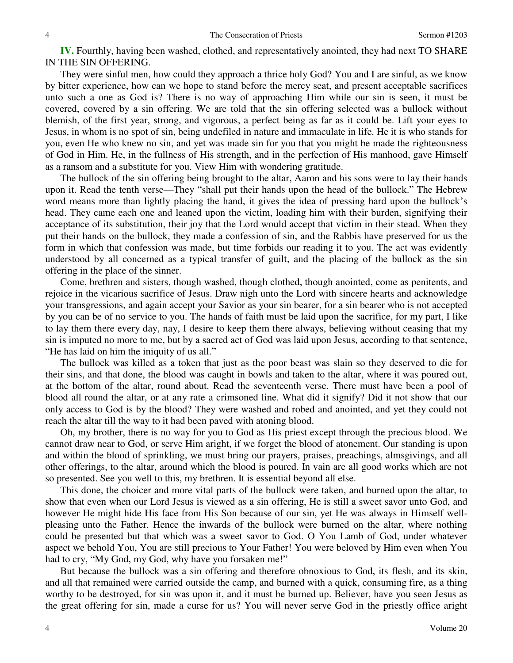**IV.** Fourthly, having been washed, clothed, and representatively anointed, they had next TO SHARE IN THE SIN OFFERING.

They were sinful men, how could they approach a thrice holy God? You and I are sinful, as we know by bitter experience, how can we hope to stand before the mercy seat, and present acceptable sacrifices unto such a one as God is? There is no way of approaching Him while our sin is seen, it must be covered, covered by a sin offering. We are told that the sin offering selected was a bullock without blemish, of the first year, strong, and vigorous, a perfect being as far as it could be. Lift your eyes to Jesus, in whom is no spot of sin, being undefiled in nature and immaculate in life. He it is who stands for you, even He who knew no sin, and yet was made sin for you that you might be made the righteousness of God in Him. He, in the fullness of His strength, and in the perfection of His manhood, gave Himself as a ransom and a substitute for you. View Him with wondering gratitude.

The bullock of the sin offering being brought to the altar, Aaron and his sons were to lay their hands upon it. Read the tenth verse—They "shall put their hands upon the head of the bullock." The Hebrew word means more than lightly placing the hand, it gives the idea of pressing hard upon the bullock's head. They came each one and leaned upon the victim, loading him with their burden, signifying their acceptance of its substitution, their joy that the Lord would accept that victim in their stead. When they put their hands on the bullock, they made a confession of sin, and the Rabbis have preserved for us the form in which that confession was made, but time forbids our reading it to you. The act was evidently understood by all concerned as a typical transfer of guilt, and the placing of the bullock as the sin offering in the place of the sinner.

Come, brethren and sisters, though washed, though clothed, though anointed, come as penitents, and rejoice in the vicarious sacrifice of Jesus. Draw nigh unto the Lord with sincere hearts and acknowledge your transgressions, and again accept your Savior as your sin bearer, for a sin bearer who is not accepted by you can be of no service to you. The hands of faith must be laid upon the sacrifice, for my part, I like to lay them there every day, nay, I desire to keep them there always, believing without ceasing that my sin is imputed no more to me, but by a sacred act of God was laid upon Jesus, according to that sentence, "He has laid on him the iniquity of us all."

The bullock was killed as a token that just as the poor beast was slain so they deserved to die for their sins, and that done, the blood was caught in bowls and taken to the altar, where it was poured out, at the bottom of the altar, round about. Read the seventeenth verse. There must have been a pool of blood all round the altar, or at any rate a crimsoned line. What did it signify? Did it not show that our only access to God is by the blood? They were washed and robed and anointed, and yet they could not reach the altar till the way to it had been paved with atoning blood.

Oh, my brother, there is no way for you to God as His priest except through the precious blood. We cannot draw near to God, or serve Him aright, if we forget the blood of atonement. Our standing is upon and within the blood of sprinkling, we must bring our prayers, praises, preachings, almsgivings, and all other offerings, to the altar, around which the blood is poured. In vain are all good works which are not so presented. See you well to this, my brethren. It is essential beyond all else.

This done, the choicer and more vital parts of the bullock were taken, and burned upon the altar, to show that even when our Lord Jesus is viewed as a sin offering, He is still a sweet savor unto God, and however He might hide His face from His Son because of our sin, yet He was always in Himself wellpleasing unto the Father. Hence the inwards of the bullock were burned on the altar, where nothing could be presented but that which was a sweet savor to God. O You Lamb of God, under whatever aspect we behold You, You are still precious to Your Father! You were beloved by Him even when You had to cry, "My God, my God, why have you forsaken me!"

But because the bullock was a sin offering and therefore obnoxious to God, its flesh, and its skin, and all that remained were carried outside the camp, and burned with a quick, consuming fire, as a thing worthy to be destroyed, for sin was upon it, and it must be burned up. Believer, have you seen Jesus as the great offering for sin, made a curse for us? You will never serve God in the priestly office aright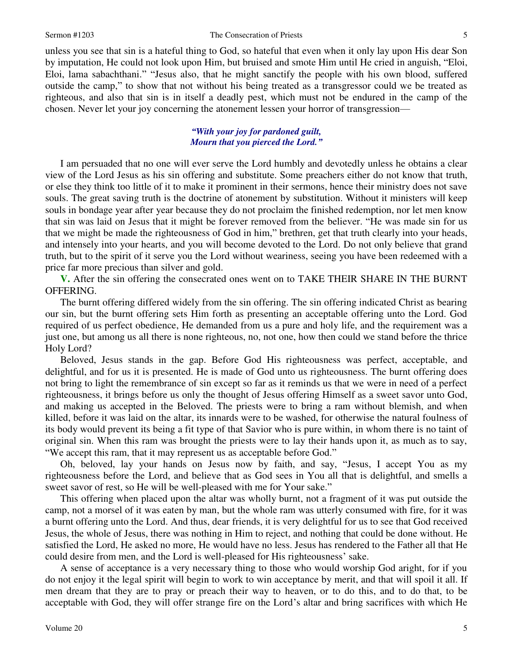unless you see that sin is a hateful thing to God, so hateful that even when it only lay upon His dear Son by imputation, He could not look upon Him, but bruised and smote Him until He cried in anguish, "Eloi, Eloi, lama sabachthani." "Jesus also, that he might sanctify the people with his own blood, suffered outside the camp," to show that not without his being treated as a transgressor could we be treated as righteous, and also that sin is in itself a deadly pest, which must not be endured in the camp of the chosen. Never let your joy concerning the atonement lessen your horror of transgression—

## *"With your joy for pardoned guilt, Mourn that you pierced the Lord."*

 I am persuaded that no one will ever serve the Lord humbly and devotedly unless he obtains a clear view of the Lord Jesus as his sin offering and substitute. Some preachers either do not know that truth, or else they think too little of it to make it prominent in their sermons, hence their ministry does not save souls. The great saving truth is the doctrine of atonement by substitution. Without it ministers will keep souls in bondage year after year because they do not proclaim the finished redemption, nor let men know that sin was laid on Jesus that it might be forever removed from the believer. "He was made sin for us that we might be made the righteousness of God in him," brethren, get that truth clearly into your heads, and intensely into your hearts, and you will become devoted to the Lord. Do not only believe that grand truth, but to the spirit of it serve you the Lord without weariness, seeing you have been redeemed with a price far more precious than silver and gold.

**V.** After the sin offering the consecrated ones went on to TAKE THEIR SHARE IN THE BURNT OFFERING.

The burnt offering differed widely from the sin offering. The sin offering indicated Christ as bearing our sin, but the burnt offering sets Him forth as presenting an acceptable offering unto the Lord. God required of us perfect obedience, He demanded from us a pure and holy life, and the requirement was a just one, but among us all there is none righteous, no, not one, how then could we stand before the thrice Holy Lord?

Beloved, Jesus stands in the gap. Before God His righteousness was perfect, acceptable, and delightful, and for us it is presented. He is made of God unto us righteousness. The burnt offering does not bring to light the remembrance of sin except so far as it reminds us that we were in need of a perfect righteousness, it brings before us only the thought of Jesus offering Himself as a sweet savor unto God, and making us accepted in the Beloved. The priests were to bring a ram without blemish, and when killed, before it was laid on the altar, its innards were to be washed, for otherwise the natural foulness of its body would prevent its being a fit type of that Savior who is pure within, in whom there is no taint of original sin. When this ram was brought the priests were to lay their hands upon it, as much as to say, "We accept this ram, that it may represent us as acceptable before God."

Oh, beloved, lay your hands on Jesus now by faith, and say, "Jesus, I accept You as my righteousness before the Lord, and believe that as God sees in You all that is delightful, and smells a sweet savor of rest, so He will be well-pleased with me for Your sake."

This offering when placed upon the altar was wholly burnt, not a fragment of it was put outside the camp, not a morsel of it was eaten by man, but the whole ram was utterly consumed with fire, for it was a burnt offering unto the Lord. And thus, dear friends, it is very delightful for us to see that God received Jesus, the whole of Jesus, there was nothing in Him to reject, and nothing that could be done without. He satisfied the Lord, He asked no more, He would have no less. Jesus has rendered to the Father all that He could desire from men, and the Lord is well-pleased for His righteousness' sake.

A sense of acceptance is a very necessary thing to those who would worship God aright, for if you do not enjoy it the legal spirit will begin to work to win acceptance by merit, and that will spoil it all. If men dream that they are to pray or preach their way to heaven, or to do this, and to do that, to be acceptable with God, they will offer strange fire on the Lord's altar and bring sacrifices with which He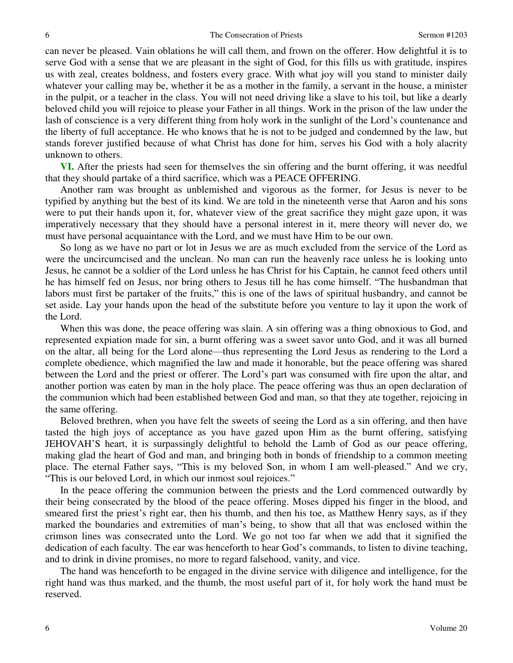can never be pleased. Vain oblations he will call them, and frown on the offerer. How delightful it is to serve God with a sense that we are pleasant in the sight of God, for this fills us with gratitude, inspires us with zeal, creates boldness, and fosters every grace. With what joy will you stand to minister daily whatever your calling may be, whether it be as a mother in the family, a servant in the house, a minister in the pulpit, or a teacher in the class. You will not need driving like a slave to his toil, but like a dearly beloved child you will rejoice to please your Father in all things. Work in the prison of the law under the lash of conscience is a very different thing from holy work in the sunlight of the Lord's countenance and the liberty of full acceptance. He who knows that he is not to be judged and condemned by the law, but stands forever justified because of what Christ has done for him, serves his God with a holy alacrity unknown to others.

**VI.** After the priests had seen for themselves the sin offering and the burnt offering, it was needful that they should partake of a third sacrifice, which was a PEACE OFFERING.

Another ram was brought as unblemished and vigorous as the former, for Jesus is never to be typified by anything but the best of its kind. We are told in the nineteenth verse that Aaron and his sons were to put their hands upon it, for, whatever view of the great sacrifice they might gaze upon, it was imperatively necessary that they should have a personal interest in it, mere theory will never do, we must have personal acquaintance with the Lord, and we must have Him to be our own.

So long as we have no part or lot in Jesus we are as much excluded from the service of the Lord as were the uncircumcised and the unclean. No man can run the heavenly race unless he is looking unto Jesus, he cannot be a soldier of the Lord unless he has Christ for his Captain, he cannot feed others until he has himself fed on Jesus, nor bring others to Jesus till he has come himself. "The husbandman that labors must first be partaker of the fruits," this is one of the laws of spiritual husbandry, and cannot be set aside. Lay your hands upon the head of the substitute before you venture to lay it upon the work of the Lord.

When this was done, the peace offering was slain. A sin offering was a thing obnoxious to God, and represented expiation made for sin, a burnt offering was a sweet savor unto God, and it was all burned on the altar, all being for the Lord alone—thus representing the Lord Jesus as rendering to the Lord a complete obedience, which magnified the law and made it honorable, but the peace offering was shared between the Lord and the priest or offerer. The Lord's part was consumed with fire upon the altar, and another portion was eaten by man in the holy place. The peace offering was thus an open declaration of the communion which had been established between God and man, so that they ate together, rejoicing in the same offering.

Beloved brethren, when you have felt the sweets of seeing the Lord as a sin offering, and then have tasted the high joys of acceptance as you have gazed upon Him as the burnt offering, satisfying JEHOVAH'S heart, it is surpassingly delightful to behold the Lamb of God as our peace offering, making glad the heart of God and man, and bringing both in bonds of friendship to a common meeting place. The eternal Father says, "This is my beloved Son, in whom I am well-pleased." And we cry, "This is our beloved Lord, in which our inmost soul rejoices."

In the peace offering the communion between the priests and the Lord commenced outwardly by their being consecrated by the blood of the peace offering. Moses dipped his finger in the blood, and smeared first the priest's right ear, then his thumb, and then his toe, as Matthew Henry says, as if they marked the boundaries and extremities of man's being, to show that all that was enclosed within the crimson lines was consecrated unto the Lord. We go not too far when we add that it signified the dedication of each faculty. The ear was henceforth to hear God's commands, to listen to divine teaching, and to drink in divine promises, no more to regard falsehood, vanity, and vice.

The hand was henceforth to be engaged in the divine service with diligence and intelligence, for the right hand was thus marked, and the thumb, the most useful part of it, for holy work the hand must be reserved.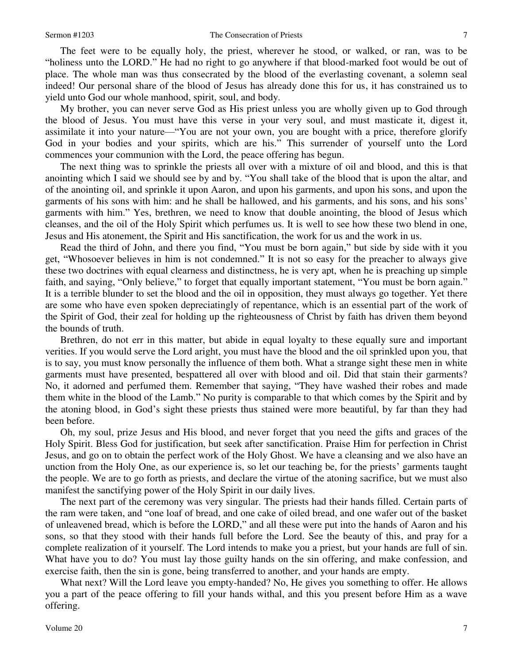The feet were to be equally holy, the priest, wherever he stood, or walked, or ran, was to be "holiness unto the LORD." He had no right to go anywhere if that blood-marked foot would be out of place. The whole man was thus consecrated by the blood of the everlasting covenant, a solemn seal indeed! Our personal share of the blood of Jesus has already done this for us, it has constrained us to yield unto God our whole manhood, spirit, soul, and body.

My brother, you can never serve God as His priest unless you are wholly given up to God through the blood of Jesus. You must have this verse in your very soul, and must masticate it, digest it, assimilate it into your nature—"You are not your own, you are bought with a price, therefore glorify God in your bodies and your spirits, which are his." This surrender of yourself unto the Lord commences your communion with the Lord, the peace offering has begun.

The next thing was to sprinkle the priests all over with a mixture of oil and blood, and this is that anointing which I said we should see by and by. "You shall take of the blood that is upon the altar, and of the anointing oil, and sprinkle it upon Aaron, and upon his garments, and upon his sons, and upon the garments of his sons with him: and he shall be hallowed, and his garments, and his sons, and his sons' garments with him." Yes, brethren, we need to know that double anointing, the blood of Jesus which cleanses, and the oil of the Holy Spirit which perfumes us. It is well to see how these two blend in one, Jesus and His atonement, the Spirit and His sanctification, the work for us and the work in us.

Read the third of John, and there you find, "You must be born again," but side by side with it you get, "Whosoever believes in him is not condemned." It is not so easy for the preacher to always give these two doctrines with equal clearness and distinctness, he is very apt, when he is preaching up simple faith, and saying, "Only believe," to forget that equally important statement, "You must be born again." It is a terrible blunder to set the blood and the oil in opposition, they must always go together. Yet there are some who have even spoken depreciatingly of repentance, which is an essential part of the work of the Spirit of God, their zeal for holding up the righteousness of Christ by faith has driven them beyond the bounds of truth.

Brethren, do not err in this matter, but abide in equal loyalty to these equally sure and important verities. If you would serve the Lord aright, you must have the blood and the oil sprinkled upon you, that is to say, you must know personally the influence of them both. What a strange sight these men in white garments must have presented, bespattered all over with blood and oil. Did that stain their garments? No, it adorned and perfumed them. Remember that saying, "They have washed their robes and made them white in the blood of the Lamb." No purity is comparable to that which comes by the Spirit and by the atoning blood, in God's sight these priests thus stained were more beautiful, by far than they had been before.

Oh, my soul, prize Jesus and His blood, and never forget that you need the gifts and graces of the Holy Spirit. Bless God for justification, but seek after sanctification. Praise Him for perfection in Christ Jesus, and go on to obtain the perfect work of the Holy Ghost. We have a cleansing and we also have an unction from the Holy One, as our experience is, so let our teaching be, for the priests' garments taught the people. We are to go forth as priests, and declare the virtue of the atoning sacrifice, but we must also manifest the sanctifying power of the Holy Spirit in our daily lives.

The next part of the ceremony was very singular. The priests had their hands filled. Certain parts of the ram were taken, and "one loaf of bread, and one cake of oiled bread, and one wafer out of the basket of unleavened bread, which is before the LORD," and all these were put into the hands of Aaron and his sons, so that they stood with their hands full before the Lord. See the beauty of this, and pray for a complete realization of it yourself. The Lord intends to make you a priest, but your hands are full of sin. What have you to do? You must lay those guilty hands on the sin offering, and make confession, and exercise faith, then the sin is gone, being transferred to another, and your hands are empty.

What next? Will the Lord leave you empty-handed? No, He gives you something to offer. He allows you a part of the peace offering to fill your hands withal, and this you present before Him as a wave offering.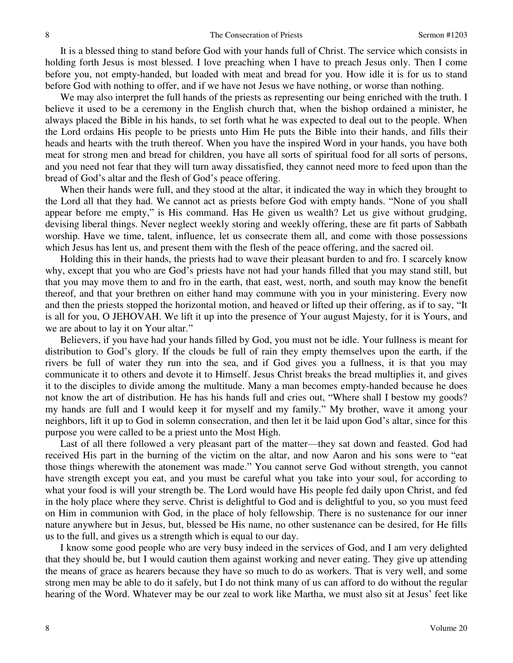It is a blessed thing to stand before God with your hands full of Christ. The service which consists in holding forth Jesus is most blessed. I love preaching when I have to preach Jesus only. Then I come before you, not empty-handed, but loaded with meat and bread for you. How idle it is for us to stand before God with nothing to offer, and if we have not Jesus we have nothing, or worse than nothing.

We may also interpret the full hands of the priests as representing our being enriched with the truth. I believe it used to be a ceremony in the English church that, when the bishop ordained a minister, he always placed the Bible in his hands, to set forth what he was expected to deal out to the people. When the Lord ordains His people to be priests unto Him He puts the Bible into their hands, and fills their heads and hearts with the truth thereof. When you have the inspired Word in your hands, you have both meat for strong men and bread for children, you have all sorts of spiritual food for all sorts of persons, and you need not fear that they will turn away dissatisfied, they cannot need more to feed upon than the bread of God's altar and the flesh of God's peace offering.

When their hands were full, and they stood at the altar, it indicated the way in which they brought to the Lord all that they had. We cannot act as priests before God with empty hands. "None of you shall appear before me empty," is His command. Has He given us wealth? Let us give without grudging, devising liberal things. Never neglect weekly storing and weekly offering, these are fit parts of Sabbath worship. Have we time, talent, influence, let us consecrate them all, and come with those possessions which Jesus has lent us, and present them with the flesh of the peace offering, and the sacred oil.

Holding this in their hands, the priests had to wave their pleasant burden to and fro. I scarcely know why, except that you who are God's priests have not had your hands filled that you may stand still, but that you may move them to and fro in the earth, that east, west, north, and south may know the benefit thereof, and that your brethren on either hand may commune with you in your ministering. Every now and then the priests stopped the horizontal motion, and heaved or lifted up their offering, as if to say, "It is all for you, O JEHOVAH. We lift it up into the presence of Your august Majesty, for it is Yours, and we are about to lay it on Your altar."

Believers, if you have had your hands filled by God, you must not be idle. Your fullness is meant for distribution to God's glory. If the clouds be full of rain they empty themselves upon the earth, if the rivers be full of water they run into the sea, and if God gives you a fullness, it is that you may communicate it to others and devote it to Himself. Jesus Christ breaks the bread multiplies it, and gives it to the disciples to divide among the multitude. Many a man becomes empty-handed because he does not know the art of distribution. He has his hands full and cries out, "Where shall I bestow my goods? my hands are full and I would keep it for myself and my family." My brother, wave it among your neighbors, lift it up to God in solemn consecration, and then let it be laid upon God's altar, since for this purpose you were called to be a priest unto the Most High.

Last of all there followed a very pleasant part of the matter—they sat down and feasted. God had received His part in the burning of the victim on the altar, and now Aaron and his sons were to "eat those things wherewith the atonement was made." You cannot serve God without strength, you cannot have strength except you eat, and you must be careful what you take into your soul, for according to what your food is will your strength be. The Lord would have His people fed daily upon Christ, and fed in the holy place where they serve. Christ is delightful to God and is delightful to you, so you must feed on Him in communion with God, in the place of holy fellowship. There is no sustenance for our inner nature anywhere but in Jesus, but, blessed be His name, no other sustenance can be desired, for He fills us to the full, and gives us a strength which is equal to our day.

I know some good people who are very busy indeed in the services of God, and I am very delighted that they should be, but I would caution them against working and never eating. They give up attending the means of grace as hearers because they have so much to do as workers. That is very well, and some strong men may be able to do it safely, but I do not think many of us can afford to do without the regular hearing of the Word. Whatever may be our zeal to work like Martha, we must also sit at Jesus' feet like

8